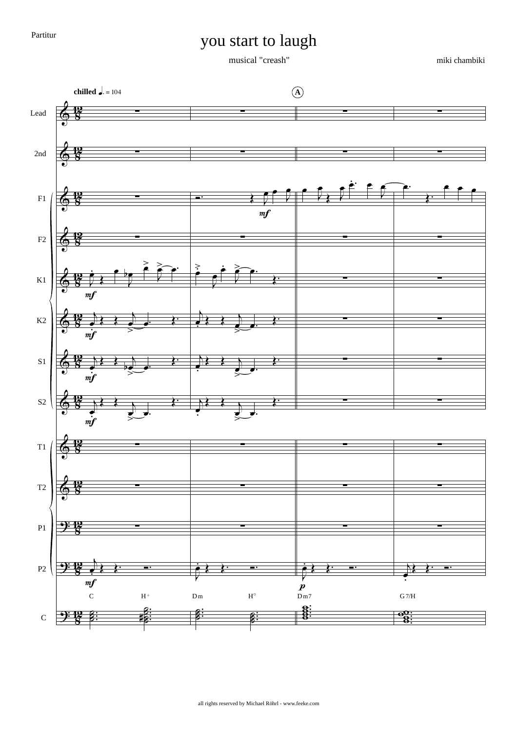## you start to laugh

musical "creash"

miki chambiki

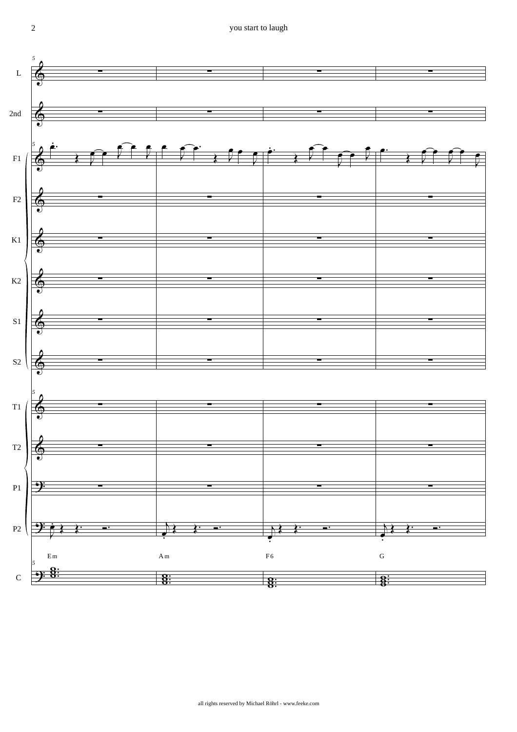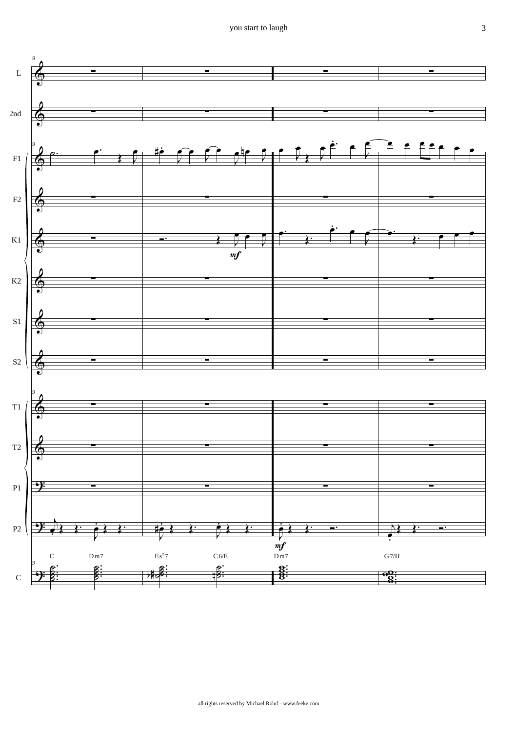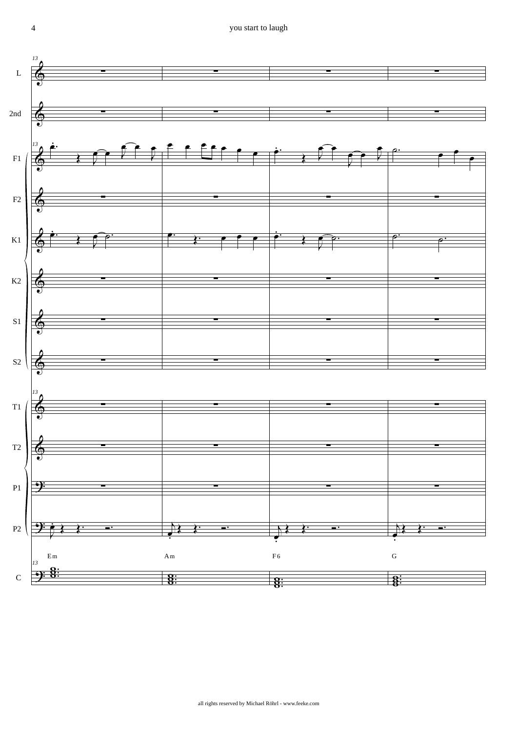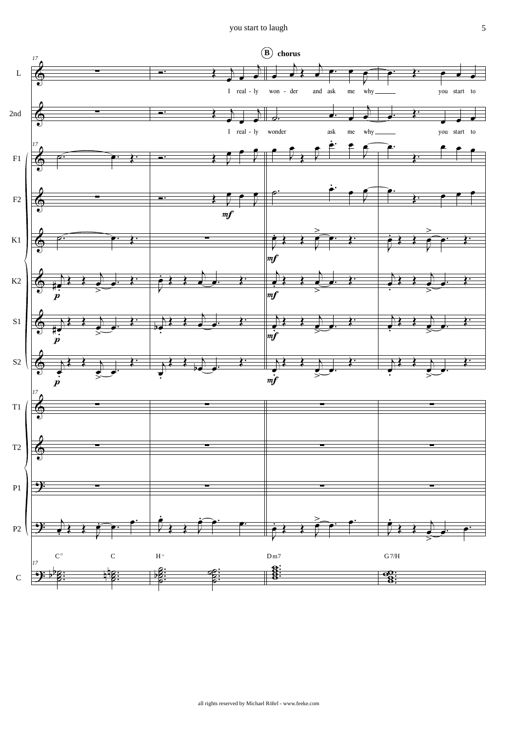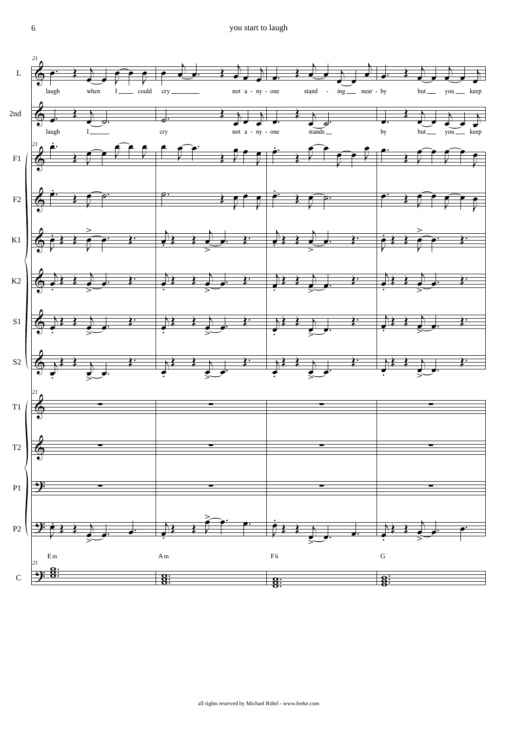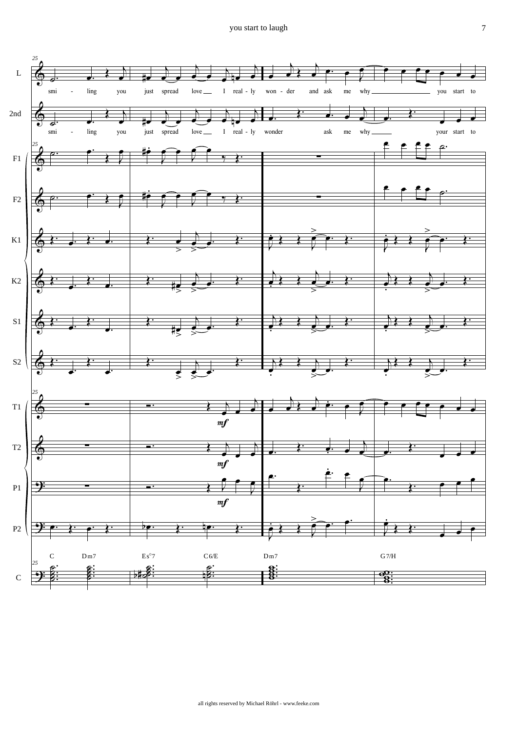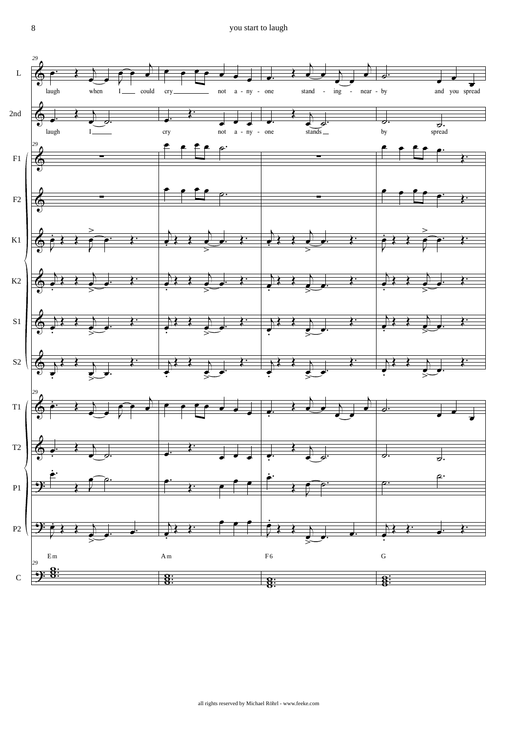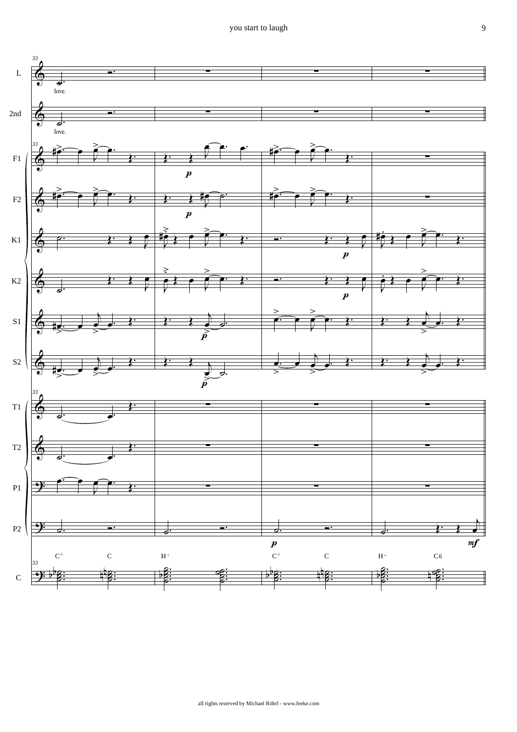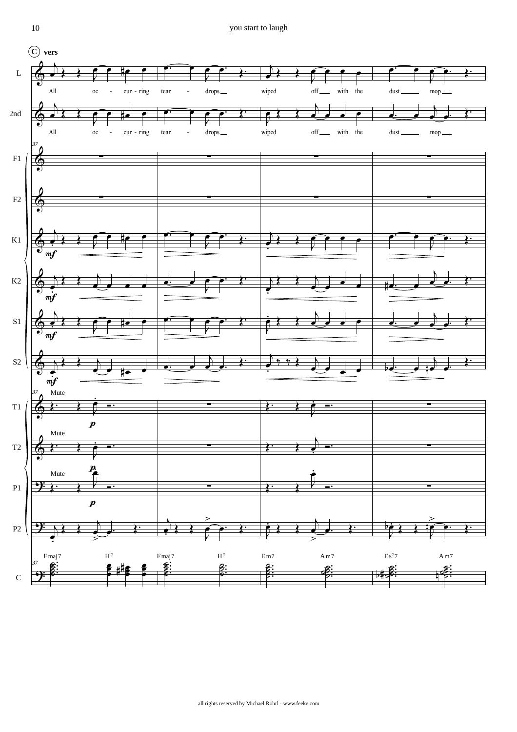$10$ 

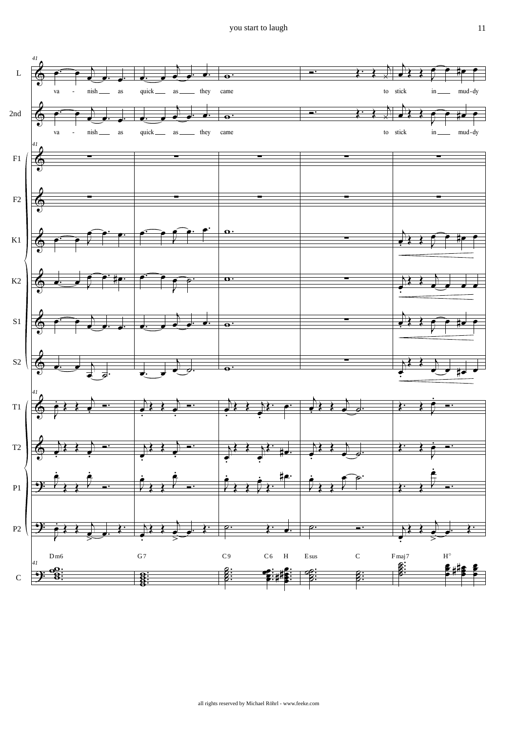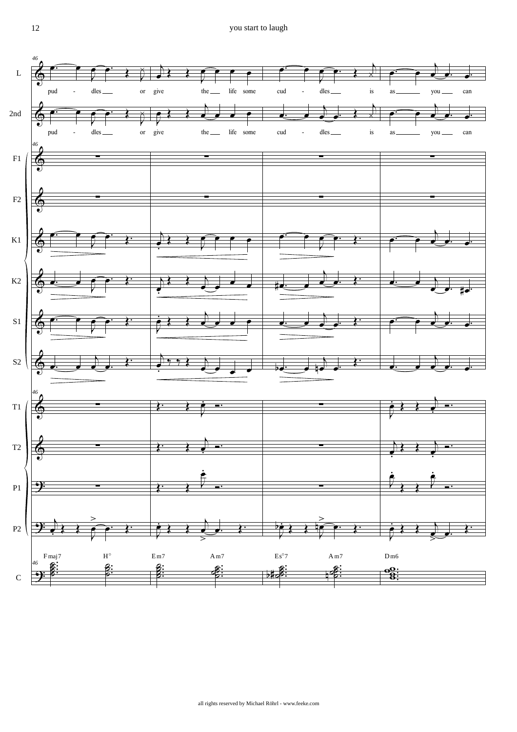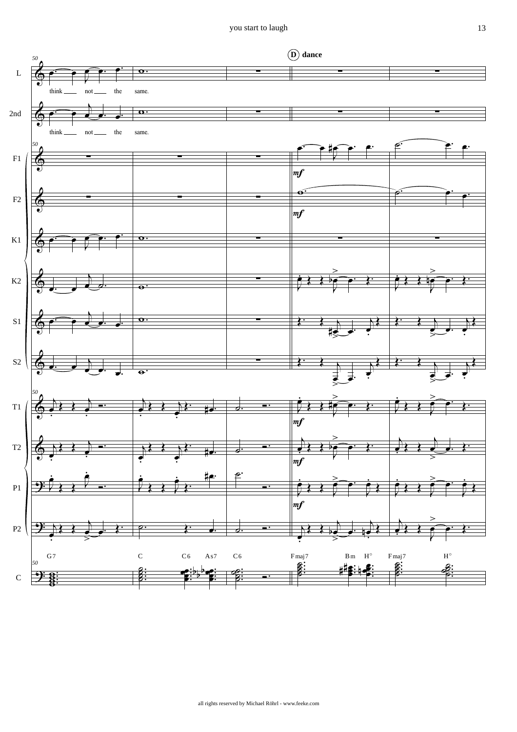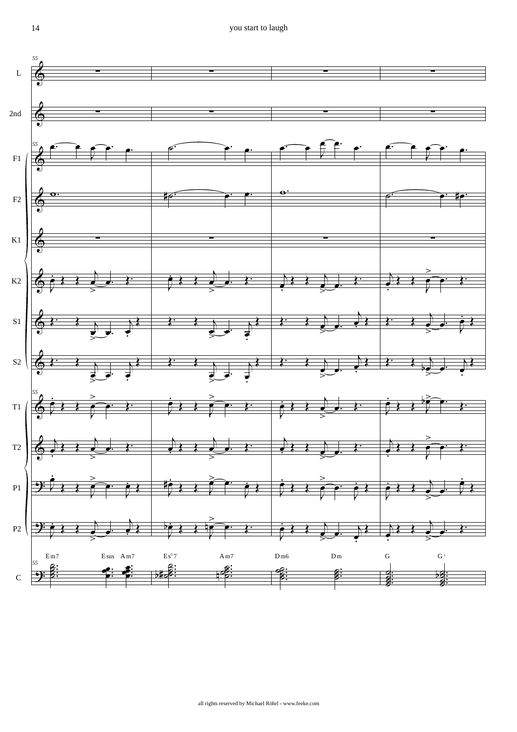![](_page_13_Figure_2.jpeg)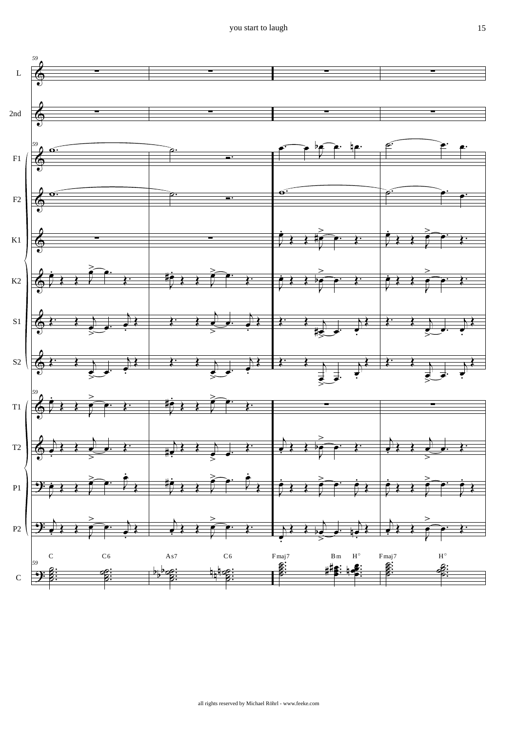you start to laugh

![](_page_14_Figure_1.jpeg)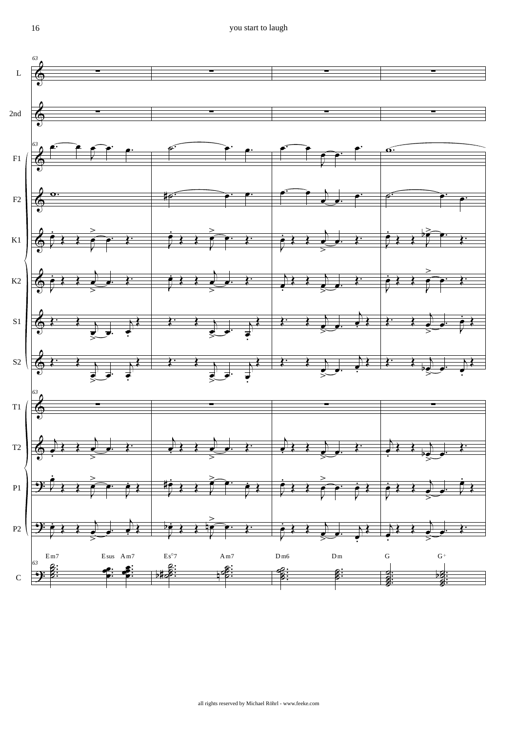![](_page_15_Figure_2.jpeg)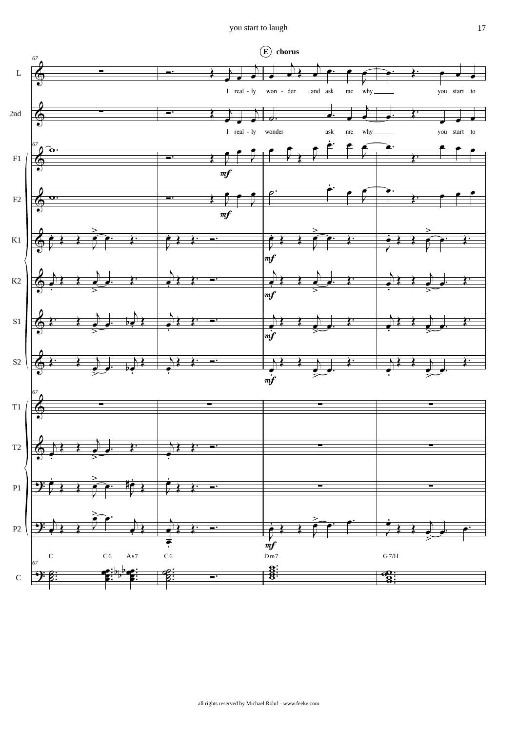![](_page_16_Figure_1.jpeg)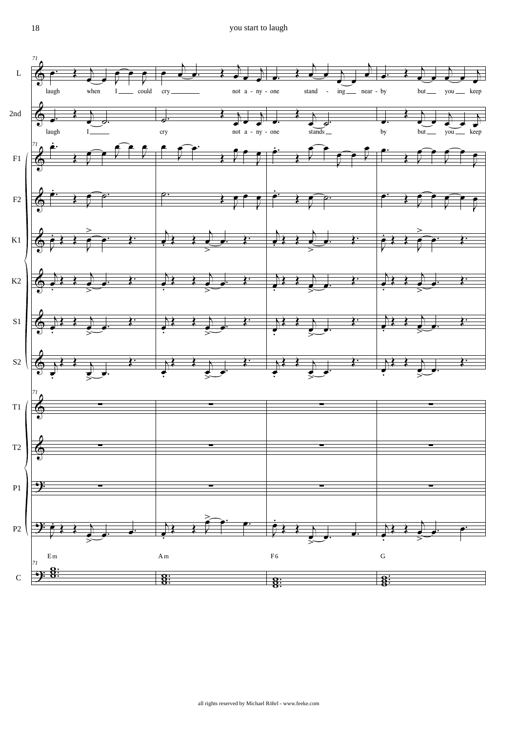![](_page_17_Figure_1.jpeg)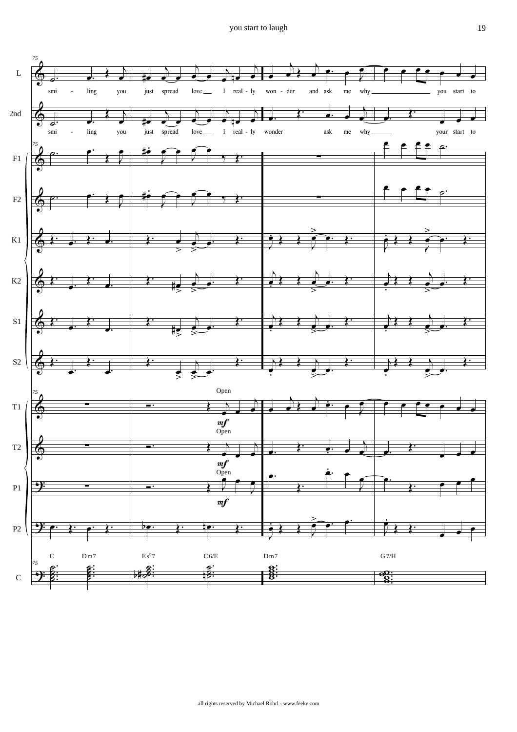![](_page_18_Figure_1.jpeg)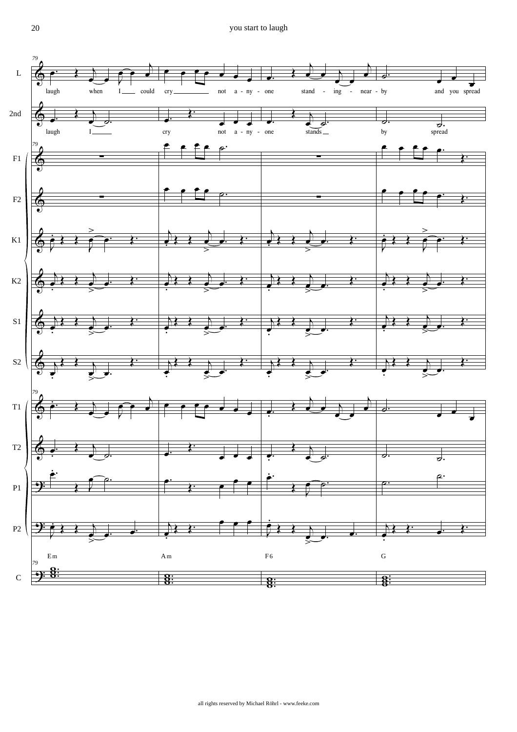![](_page_19_Figure_1.jpeg)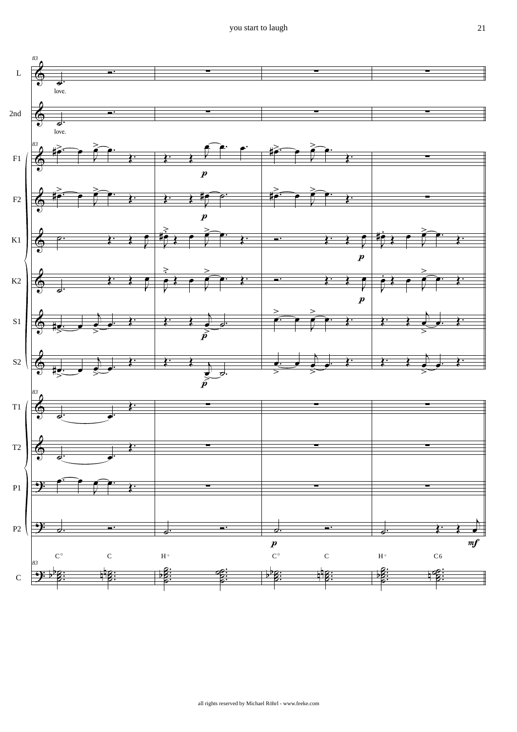![](_page_20_Figure_1.jpeg)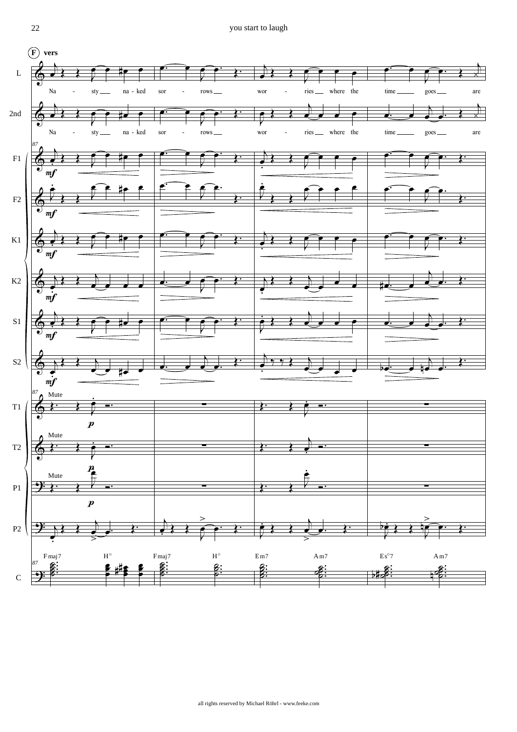$22$ 

![](_page_21_Figure_2.jpeg)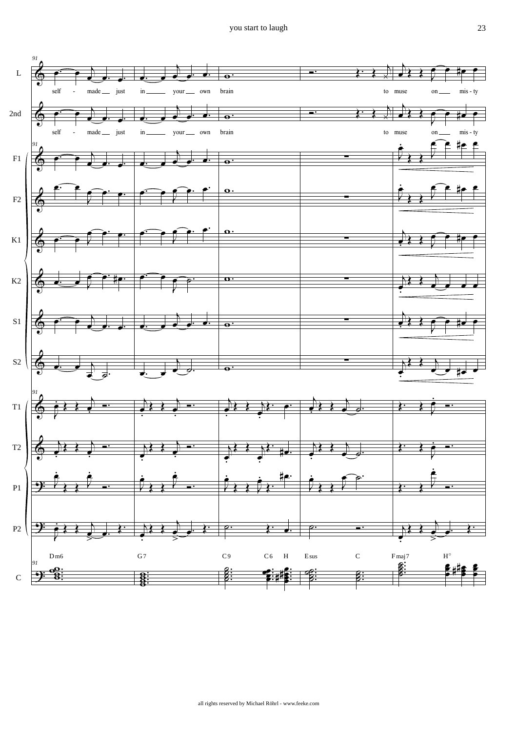![](_page_22_Figure_1.jpeg)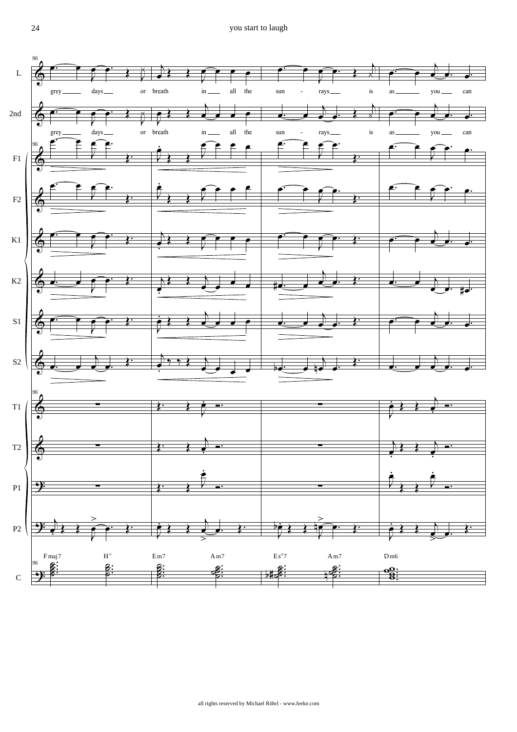![](_page_23_Figure_1.jpeg)

all rights reserved by Michael Röhrl - www.feeke.com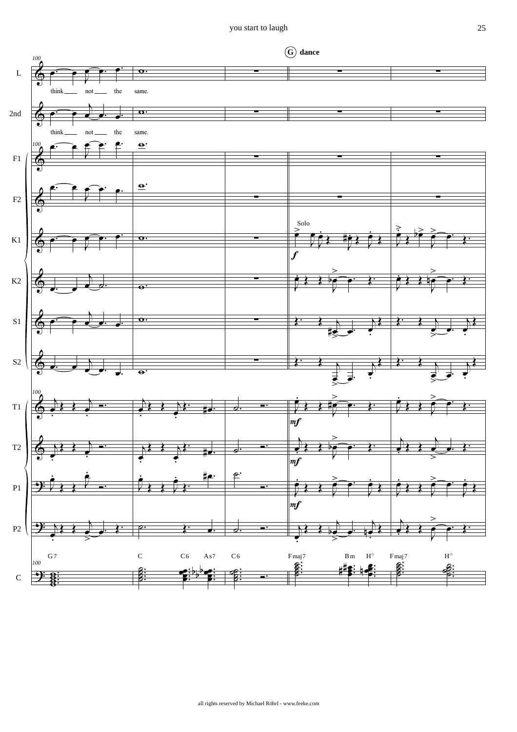![](_page_24_Figure_1.jpeg)

25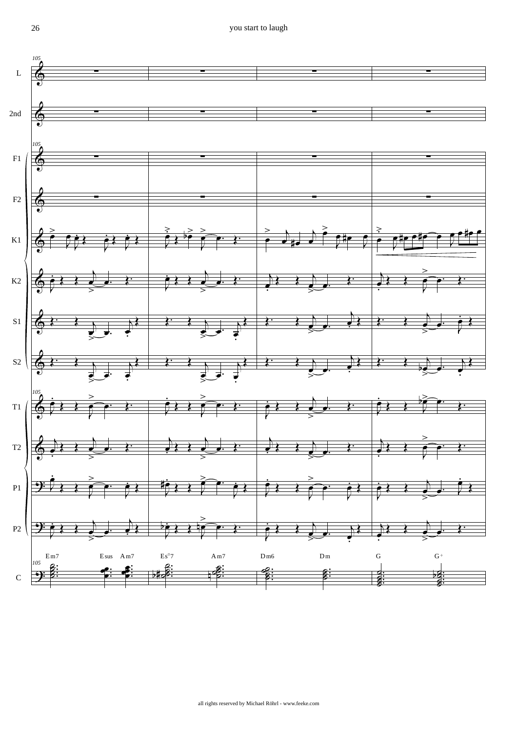![](_page_25_Figure_2.jpeg)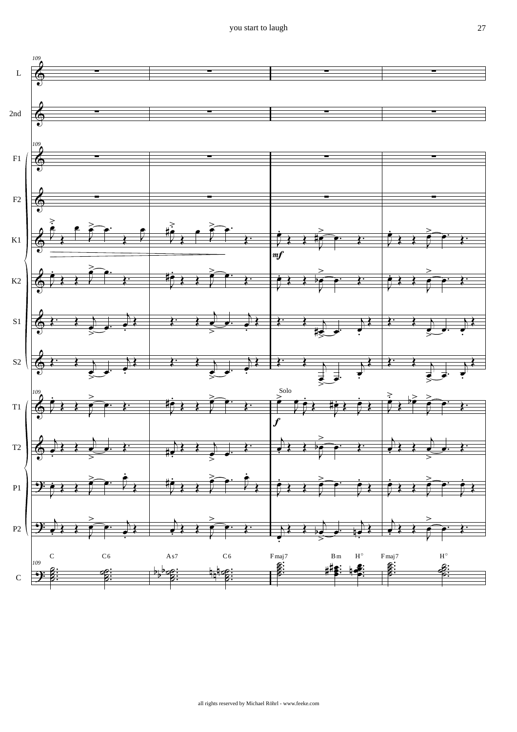![](_page_26_Figure_1.jpeg)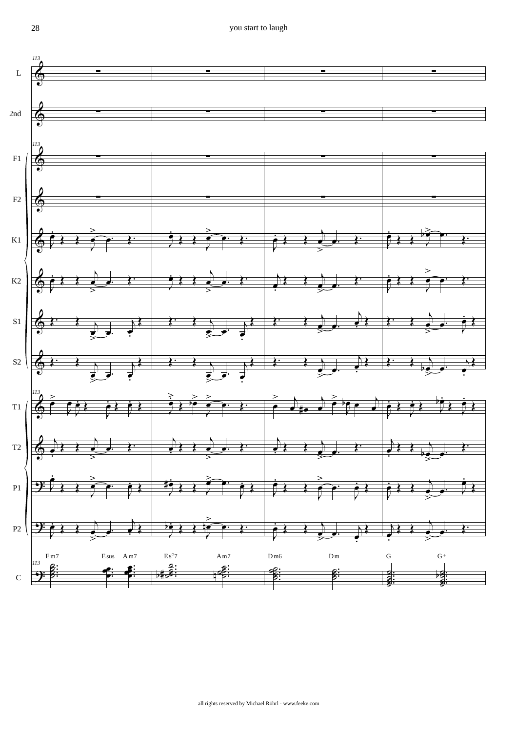![](_page_27_Figure_2.jpeg)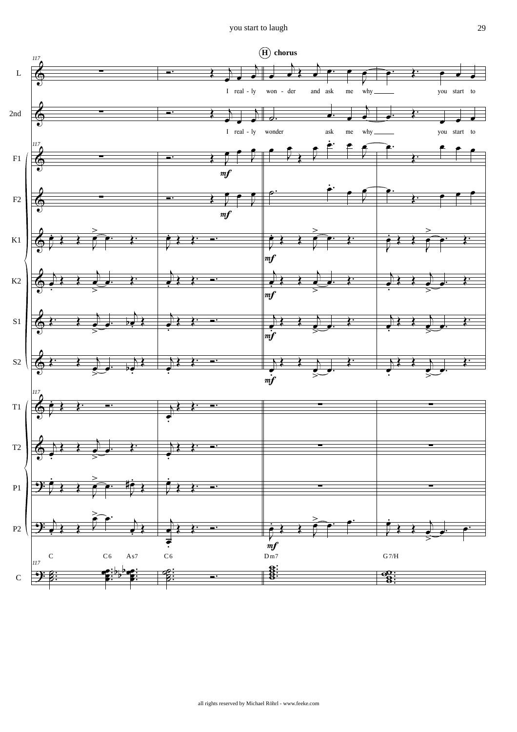![](_page_28_Figure_1.jpeg)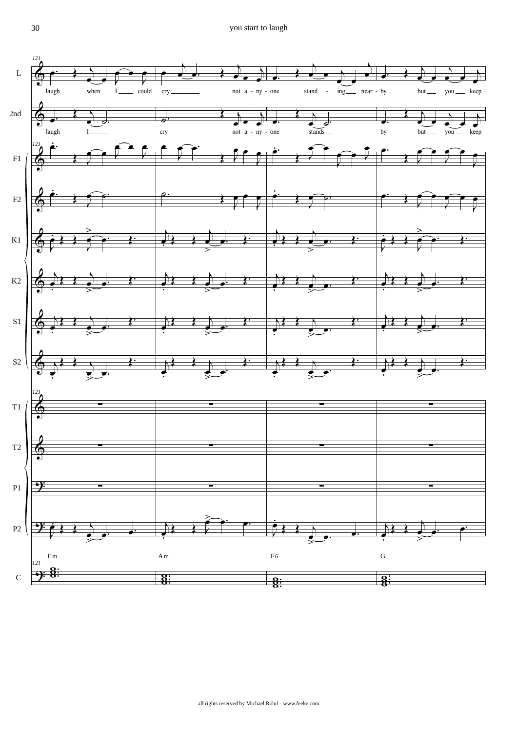![](_page_29_Figure_1.jpeg)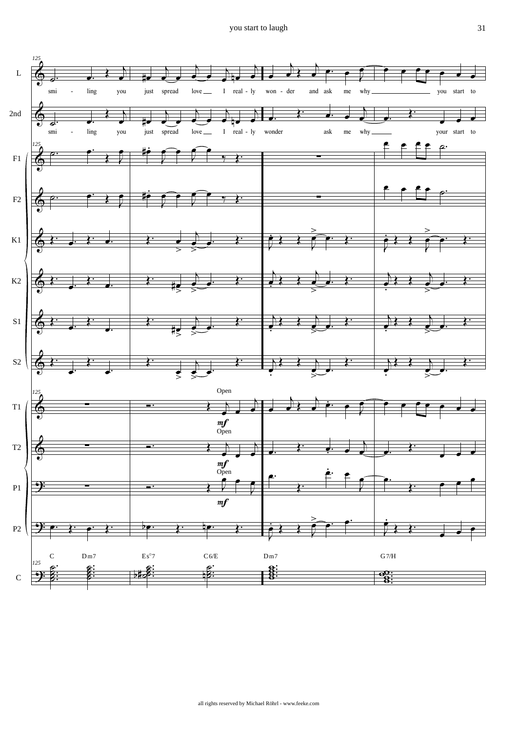![](_page_30_Figure_1.jpeg)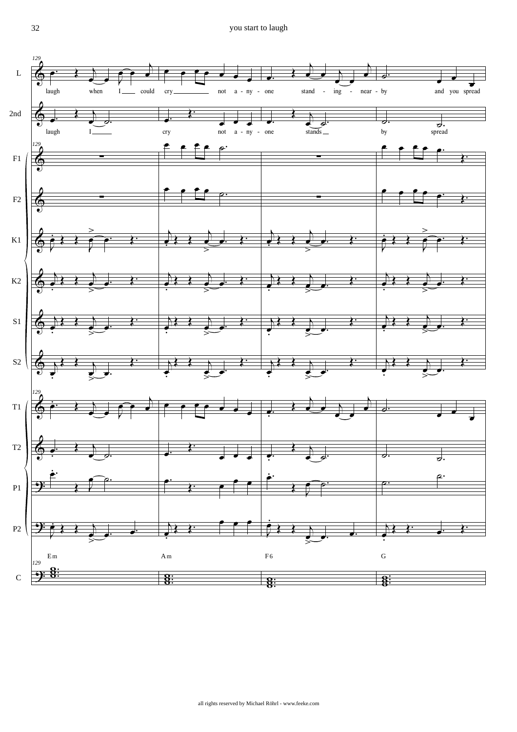![](_page_31_Figure_1.jpeg)